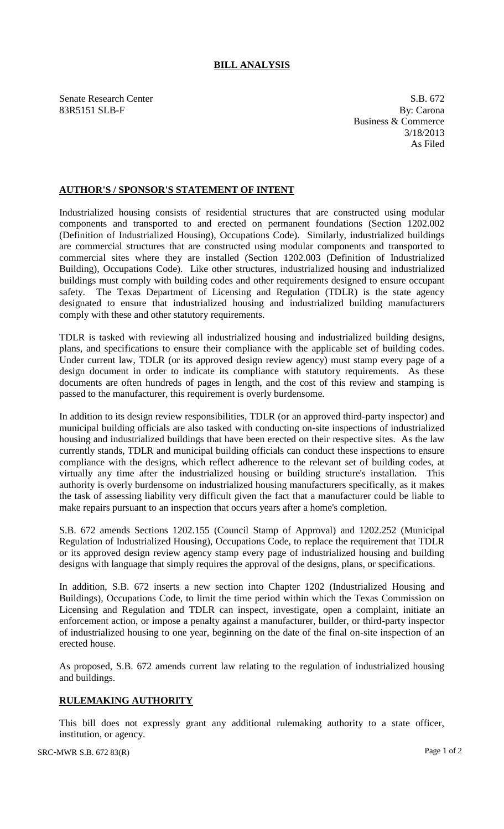## **BILL ANALYSIS**

Senate Research Center S.B. 672 83R5151 SLB-F By: Carona

Business & Commerce 3/18/2013 As Filed

## **AUTHOR'S / SPONSOR'S STATEMENT OF INTENT**

Industrialized housing consists of residential structures that are constructed using modular components and transported to and erected on permanent foundations (Section 1202.002 (Definition of Industrialized Housing), Occupations Code). Similarly, industrialized buildings are commercial structures that are constructed using modular components and transported to commercial sites where they are installed (Section 1202.003 (Definition of Industrialized Building), Occupations Code). Like other structures, industrialized housing and industrialized buildings must comply with building codes and other requirements designed to ensure occupant safety. The Texas Department of Licensing and Regulation (TDLR) is the state agency designated to ensure that industrialized housing and industrialized building manufacturers comply with these and other statutory requirements.

TDLR is tasked with reviewing all industrialized housing and industrialized building designs, plans, and specifications to ensure their compliance with the applicable set of building codes. Under current law, TDLR (or its approved design review agency) must stamp every page of a design document in order to indicate its compliance with statutory requirements. As these documents are often hundreds of pages in length, and the cost of this review and stamping is passed to the manufacturer, this requirement is overly burdensome.

In addition to its design review responsibilities, TDLR (or an approved third-party inspector) and municipal building officials are also tasked with conducting on-site inspections of industrialized housing and industrialized buildings that have been erected on their respective sites. As the law currently stands, TDLR and municipal building officials can conduct these inspections to ensure compliance with the designs, which reflect adherence to the relevant set of building codes, at virtually any time after the industrialized housing or building structure's installation. This authority is overly burdensome on industrialized housing manufacturers specifically, as it makes the task of assessing liability very difficult given the fact that a manufacturer could be liable to make repairs pursuant to an inspection that occurs years after a home's completion.

S.B. 672 amends Sections 1202.155 (Council Stamp of Approval) and 1202.252 (Municipal Regulation of Industrialized Housing), Occupations Code, to replace the requirement that TDLR or its approved design review agency stamp every page of industrialized housing and building designs with language that simply requires the approval of the designs, plans, or specifications.

In addition, S.B. 672 inserts a new section into Chapter 1202 (Industrialized Housing and Buildings), Occupations Code, to limit the time period within which the Texas Commission on Licensing and Regulation and TDLR can inspect, investigate, open a complaint, initiate an enforcement action, or impose a penalty against a manufacturer, builder, or third-party inspector of industrialized housing to one year, beginning on the date of the final on-site inspection of an erected house.

As proposed, S.B. 672 amends current law relating to the regulation of industrialized housing and buildings.

## **RULEMAKING AUTHORITY**

This bill does not expressly grant any additional rulemaking authority to a state officer, institution, or agency.